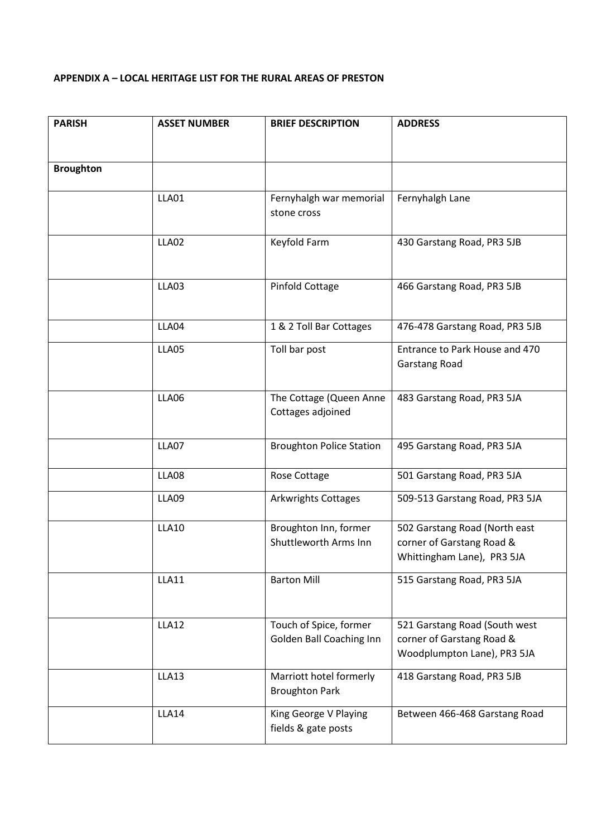# **APPENDIX A – LOCAL HERITAGE LIST FOR THE RURAL AREAS OF PRESTON**

| <b>PARISH</b>    | <b>ASSET NUMBER</b> | <b>BRIEF DESCRIPTION</b>        | <b>ADDRESS</b>                 |
|------------------|---------------------|---------------------------------|--------------------------------|
|                  |                     |                                 |                                |
| <b>Broughton</b> |                     |                                 |                                |
|                  | LLA01               | Fernyhalgh war memorial         | Fernyhalgh Lane                |
|                  |                     | stone cross                     |                                |
|                  | LLA02               | Keyfold Farm                    | 430 Garstang Road, PR3 5JB     |
|                  |                     |                                 |                                |
|                  | LLA03               | Pinfold Cottage                 | 466 Garstang Road, PR3 5JB     |
|                  |                     |                                 |                                |
|                  | LLA04               | 1 & 2 Toll Bar Cottages         | 476-478 Garstang Road, PR3 5JB |
|                  | LLA05               | Toll bar post                   | Entrance to Park House and 470 |
|                  |                     |                                 | Garstang Road                  |
|                  | LLA06               | The Cottage (Queen Anne         | 483 Garstang Road, PR3 5JA     |
|                  |                     | Cottages adjoined               |                                |
|                  | LLA07               | <b>Broughton Police Station</b> | 495 Garstang Road, PR3 5JA     |
|                  | LLA08               |                                 |                                |
|                  |                     | Rose Cottage                    | 501 Garstang Road, PR3 5JA     |
|                  | LLA09               | <b>Arkwrights Cottages</b>      | 509-513 Garstang Road, PR3 5JA |
|                  | <b>LLA10</b>        | Broughton Inn, former           | 502 Garstang Road (North east  |
|                  |                     | Shuttleworth Arms Inn           | corner of Garstang Road &      |
|                  |                     |                                 | Whittingham Lane), PR3 5JA     |
|                  | <b>LLA11</b>        | <b>Barton Mill</b>              | 515 Garstang Road, PR3 5JA     |
|                  |                     |                                 |                                |
|                  | <b>LLA12</b>        | Touch of Spice, former          | 521 Garstang Road (South west  |
|                  |                     | Golden Ball Coaching Inn        | corner of Garstang Road &      |
|                  |                     |                                 | Woodplumpton Lane), PR3 5JA    |
|                  | LLA13               | Marriott hotel formerly         | 418 Garstang Road, PR3 5JB     |
|                  |                     | <b>Broughton Park</b>           |                                |
|                  | LLA14               | King George V Playing           | Between 466-468 Garstang Road  |
|                  |                     | fields & gate posts             |                                |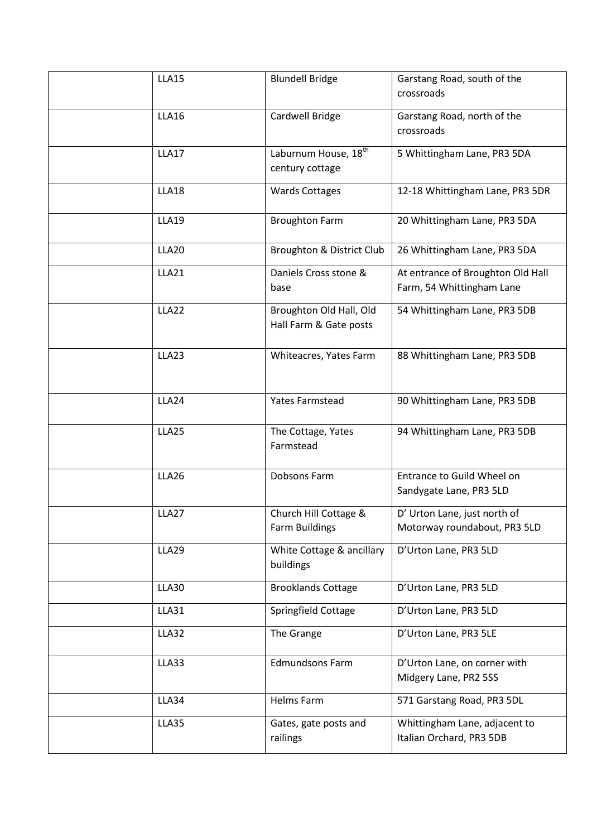| <b>LLA15</b>      | <b>Blundell Bridge</b>                              | Garstang Road, south of the<br>crossroads                      |
|-------------------|-----------------------------------------------------|----------------------------------------------------------------|
| <b>LLA16</b>      | Cardwell Bridge                                     | Garstang Road, north of the<br>crossroads                      |
| <b>LLA17</b>      | Laburnum House, 18 <sup>th</sup><br>century cottage | 5 Whittingham Lane, PR3 5DA                                    |
| <b>LLA18</b>      | <b>Wards Cottages</b>                               | 12-18 Whittingham Lane, PR3 5DR                                |
| <b>LLA19</b>      | <b>Broughton Farm</b>                               | 20 Whittingham Lane, PR3 5DA                                   |
| <b>LLA20</b>      | Broughton & District Club                           | 26 Whittingham Lane, PR3 5DA                                   |
| <b>LLA21</b>      | Daniels Cross stone &<br>base                       | At entrance of Broughton Old Hall<br>Farm, 54 Whittingham Lane |
| LLA22             | Broughton Old Hall, Old<br>Hall Farm & Gate posts   | 54 Whittingham Lane, PR3 5DB                                   |
| LLA23             | Whiteacres, Yates Farm                              | 88 Whittingham Lane, PR3 5DB                                   |
| LLA24             | <b>Yates Farmstead</b>                              | 90 Whittingham Lane, PR3 5DB                                   |
| LLA25             | The Cottage, Yates<br>Farmstead                     | 94 Whittingham Lane, PR3 5DB                                   |
| <b>LLA26</b>      | Dobsons Farm                                        | Entrance to Guild Wheel on<br>Sandygate Lane, PR3 5LD          |
| LLA <sub>27</sub> | Church Hill Cottage &<br>Farm Buildings             | D' Urton Lane, just north of<br>Motorway roundabout, PR3 5LD   |
| <b>LLA29</b>      | White Cottage & ancillary<br>buildings              | D'Urton Lane, PR3 5LD                                          |
| <b>LLA30</b>      | <b>Brooklands Cottage</b>                           | D'Urton Lane, PR3 5LD                                          |
| <b>LLA31</b>      | Springfield Cottage                                 | D'Urton Lane, PR3 5LD                                          |
| LLA32             | The Grange                                          | D'Urton Lane, PR3 5LE                                          |
| LLA33             | <b>Edmundsons Farm</b>                              | D'Urton Lane, on corner with<br>Midgery Lane, PR2 5SS          |
| LLA34             | Helms Farm                                          | 571 Garstang Road, PR3 5DL                                     |
| LLA35             | Gates, gate posts and<br>railings                   | Whittingham Lane, adjacent to<br>Italian Orchard, PR3 5DB      |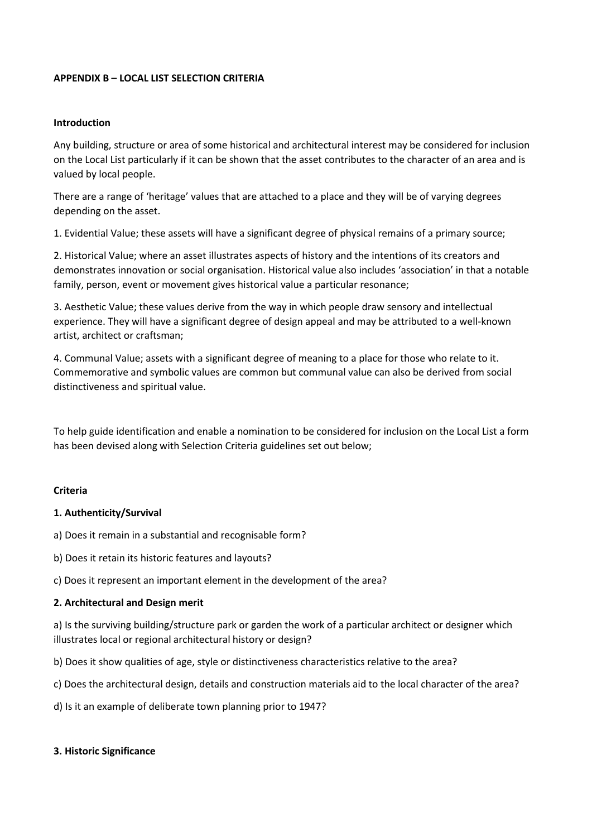### **APPENDIX B – LOCAL LIST SELECTION CRITERIA**

#### **Introduction**

Any building, structure or area of some historical and architectural interest may be considered for inclusion on the Local List particularly if it can be shown that the asset contributes to the character of an area and is valued by local people.

There are a range of 'heritage' values that are attached to a place and they will be of varying degrees depending on the asset.

1. Evidential Value; these assets will have a significant degree of physical remains of a primary source;

2. Historical Value; where an asset illustrates aspects of history and the intentions of its creators and demonstrates innovation or social organisation. Historical value also includes 'association' in that a notable family, person, event or movement gives historical value a particular resonance;

3. Aesthetic Value; these values derive from the way in which people draw sensory and intellectual experience. They will have a significant degree of design appeal and may be attributed to a well-known artist, architect or craftsman;

4. Communal Value; assets with a significant degree of meaning to a place for those who relate to it. Commemorative and symbolic values are common but communal value can also be derived from social distinctiveness and spiritual value.

To help guide identification and enable a nomination to be considered for inclusion on the Local List a form has been devised along with Selection Criteria guidelines set out below;

#### **Criteria**

### **1. Authenticity/Survival**

a) Does it remain in a substantial and recognisable form?

b) Does it retain its historic features and layouts?

c) Does it represent an important element in the development of the area?

### **2. Architectural and Design merit**

a) Is the surviving building/structure park or garden the work of a particular architect or designer which illustrates local or regional architectural history or design?

b) Does it show qualities of age, style or distinctiveness characteristics relative to the area?

c) Does the architectural design, details and construction materials aid to the local character of the area?

d) Is it an example of deliberate town planning prior to 1947?

#### **3. Historic Significance**